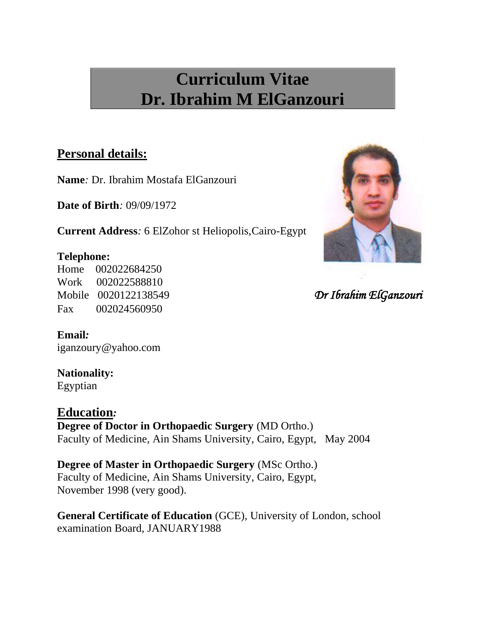# **Curriculum Vitae Dr. Ibrahim M ElGanzouri**

### **Personal details:**

**Name***:* Dr. Ibrahim Mostafa ElGanzouri

**Date of Birth***:* 09/09/1972

**Current Address***:* 6 ElZohor st Heliopolis,Cairo-Egypt

### **Telephone:**

Home 002022684250 Work 002022588810 Mobile 0020122138549 *Dr Ibrahim ElGanzouri* Fax 002024560950

### **Email***:*

iganzoury@yahoo.com

# **Nationality:**

Egyptian

**Education***:*

**Degree of Doctor in Orthopaedic Surgery** (MD Ortho.) Faculty of Medicine, Ain Shams University, Cairo, Egypt, May 2004

**Degree of Master in Orthopaedic Surgery** (MSc Ortho.) Faculty of Medicine, Ain Shams University, Cairo, Egypt, November 1998 (very good).

**General Certificate of Education** (GCE), University of London, school examination Board, JANUARY1988